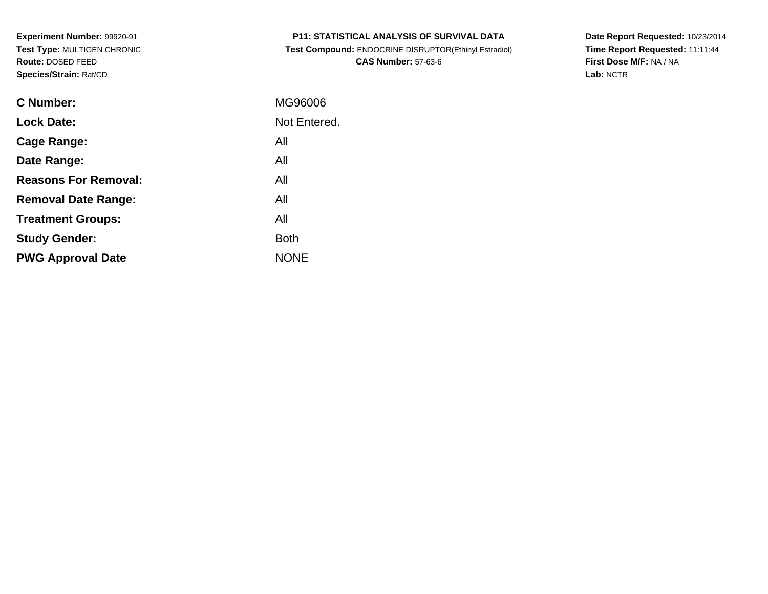| <b>P11: STATISTICAL ANALYSIS OF SURVIVAL DATA</b> |  |
|---------------------------------------------------|--|
|---------------------------------------------------|--|

 **Test Compound:** ENDOCRINE DISRUPTOR(Ethinyl Estradiol)**CAS Number:** 57-63-6

**Date Report Requested:** 10/23/2014 **Time Report Requested:** 11:11:44**First Dose M/F:** NA / NA**Lab:** NCTR

| C Number:                   | MG96006      |
|-----------------------------|--------------|
| <b>Lock Date:</b>           | Not Entered. |
| Cage Range:                 | All          |
| Date Range:                 | All          |
| <b>Reasons For Removal:</b> | All          |
| <b>Removal Date Range:</b>  | All          |
| <b>Treatment Groups:</b>    | All          |
| <b>Study Gender:</b>        | <b>Both</b>  |
| <b>PWG Approval Date</b>    | <b>NONE</b>  |
|                             |              |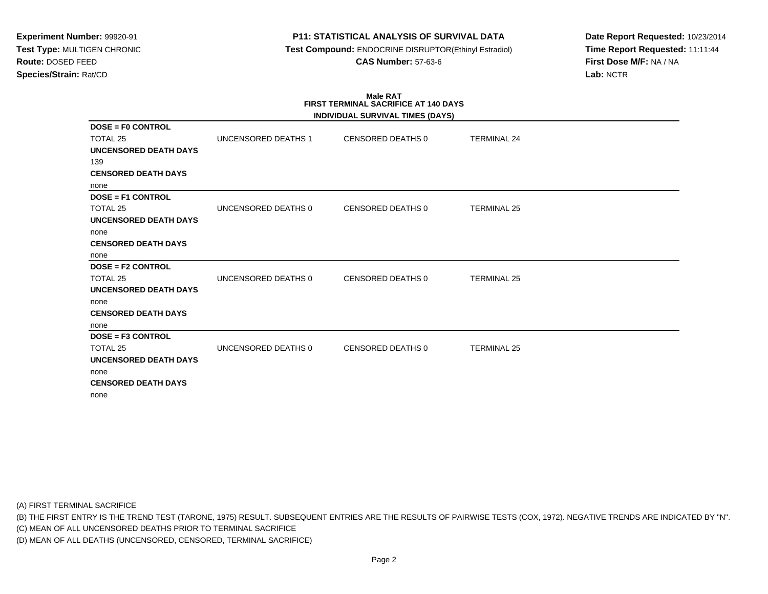## **P11: STATISTICAL ANALYSIS OF SURVIVAL DATA**

 **Test Compound:** ENDOCRINE DISRUPTOR(Ethinyl Estradiol)**CAS Number:** 57-63-6

**Date Report Requested:** 10/23/2014**Time Report Requested:** 11:11:44**First Dose M/F:** NA / NA**Lab:** NCTR

#### **Male RAT FIRST TERMINAL SACRIFICE AT 140 DAYSINDIVIDUAL SURVIVAL TIMES (DAYS)**

|                              |                     | INDIVIDUAL SURVIVAL TIMES (DAYS) |                    |  |
|------------------------------|---------------------|----------------------------------|--------------------|--|
| <b>DOSE = F0 CONTROL</b>     |                     |                                  |                    |  |
| TOTAL 25                     | UNCENSORED DEATHS 1 | CENSORED DEATHS 0                | <b>TERMINAL 24</b> |  |
| <b>UNCENSORED DEATH DAYS</b> |                     |                                  |                    |  |
| 139                          |                     |                                  |                    |  |
| <b>CENSORED DEATH DAYS</b>   |                     |                                  |                    |  |
| none                         |                     |                                  |                    |  |
| <b>DOSE = F1 CONTROL</b>     |                     |                                  |                    |  |
| TOTAL 25                     | UNCENSORED DEATHS 0 | <b>CENSORED DEATHS 0</b>         | <b>TERMINAL 25</b> |  |
| <b>UNCENSORED DEATH DAYS</b> |                     |                                  |                    |  |
| none                         |                     |                                  |                    |  |
| <b>CENSORED DEATH DAYS</b>   |                     |                                  |                    |  |
| none                         |                     |                                  |                    |  |
| <b>DOSE = F2 CONTROL</b>     |                     |                                  |                    |  |
| TOTAL 25                     | UNCENSORED DEATHS 0 | <b>CENSORED DEATHS 0</b>         | <b>TERMINAL 25</b> |  |
| <b>UNCENSORED DEATH DAYS</b> |                     |                                  |                    |  |
| none                         |                     |                                  |                    |  |
| <b>CENSORED DEATH DAYS</b>   |                     |                                  |                    |  |
| none                         |                     |                                  |                    |  |
| $DOSE = F3$ CONTROL          |                     |                                  |                    |  |
| TOTAL 25                     | UNCENSORED DEATHS 0 | <b>CENSORED DEATHS 0</b>         | <b>TERMINAL 25</b> |  |
| UNCENSORED DEATH DAYS        |                     |                                  |                    |  |
| none                         |                     |                                  |                    |  |
| <b>CENSORED DEATH DAYS</b>   |                     |                                  |                    |  |
| none                         |                     |                                  |                    |  |

(A) FIRST TERMINAL SACRIFICE

(B) THE FIRST ENTRY IS THE TREND TEST (TARONE, 1975) RESULT. SUBSEQUENT ENTRIES ARE THE RESULTS OF PAIRWISE TESTS (COX, 1972). NEGATIVE TRENDS ARE INDICATED BY "N".

(C) MEAN OF ALL UNCENSORED DEATHS PRIOR TO TERMINAL SACRIFICE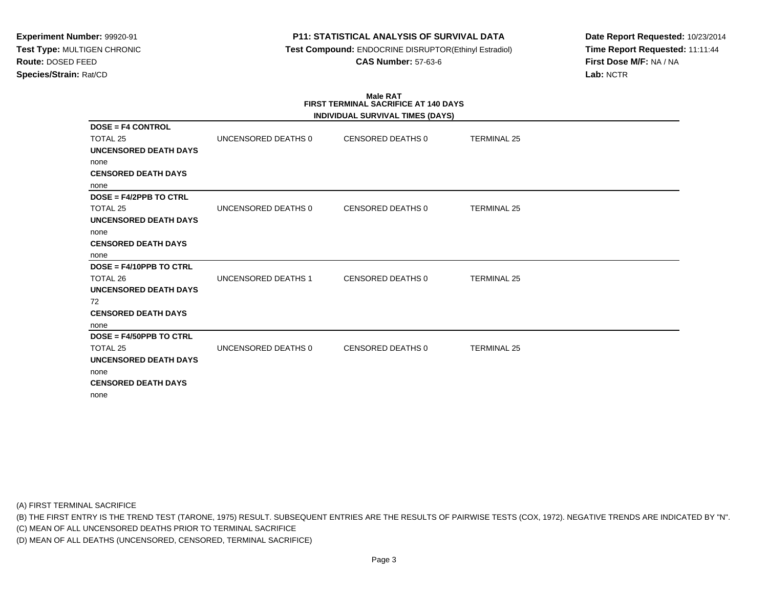## **P11: STATISTICAL ANALYSIS OF SURVIVAL DATA**

 **Test Compound:** ENDOCRINE DISRUPTOR(Ethinyl Estradiol)**CAS Number:** 57-63-6

**Date Report Requested:** 10/23/2014**Time Report Requested:** 11:11:44**First Dose M/F:** NA / NA**Lab:** NCTR

#### **Male RAT FIRST TERMINAL SACRIFICE AT 140 DAYSINDIVIDUAL SURVIVAL TIMES (DAYS)**

|                              |                     | INDIVIDUAL SURVIVAL TIMES (DAYS) |                    |  |
|------------------------------|---------------------|----------------------------------|--------------------|--|
| <b>DOSE = F4 CONTROL</b>     |                     |                                  |                    |  |
| TOTAL 25                     | UNCENSORED DEATHS 0 | CENSORED DEATHS 0                | <b>TERMINAL 25</b> |  |
| UNCENSORED DEATH DAYS        |                     |                                  |                    |  |
| none                         |                     |                                  |                    |  |
| <b>CENSORED DEATH DAYS</b>   |                     |                                  |                    |  |
| none                         |                     |                                  |                    |  |
| $DOSE = F4/2PPB TO CTRL$     |                     |                                  |                    |  |
| TOTAL 25                     | UNCENSORED DEATHS 0 | CENSORED DEATHS 0                | <b>TERMINAL 25</b> |  |
| <b>UNCENSORED DEATH DAYS</b> |                     |                                  |                    |  |
| none                         |                     |                                  |                    |  |
| <b>CENSORED DEATH DAYS</b>   |                     |                                  |                    |  |
| none                         |                     |                                  |                    |  |
| $DOSE = F4/10PPB TO CTRL$    |                     |                                  |                    |  |
| TOTAL 26                     | UNCENSORED DEATHS 1 | <b>CENSORED DEATHS 0</b>         | <b>TERMINAL 25</b> |  |
| <b>UNCENSORED DEATH DAYS</b> |                     |                                  |                    |  |
| 72                           |                     |                                  |                    |  |
| <b>CENSORED DEATH DAYS</b>   |                     |                                  |                    |  |
| none                         |                     |                                  |                    |  |
| $DOSE = F4/50PPB TO CTRL$    |                     |                                  |                    |  |
| TOTAL 25                     | UNCENSORED DEATHS 0 | CENSORED DEATHS 0                | <b>TERMINAL 25</b> |  |
| UNCENSORED DEATH DAYS        |                     |                                  |                    |  |
| none                         |                     |                                  |                    |  |
| <b>CENSORED DEATH DAYS</b>   |                     |                                  |                    |  |
| none                         |                     |                                  |                    |  |

(A) FIRST TERMINAL SACRIFICE

(B) THE FIRST ENTRY IS THE TREND TEST (TARONE, 1975) RESULT. SUBSEQUENT ENTRIES ARE THE RESULTS OF PAIRWISE TESTS (COX, 1972). NEGATIVE TRENDS ARE INDICATED BY "N".

(C) MEAN OF ALL UNCENSORED DEATHS PRIOR TO TERMINAL SACRIFICE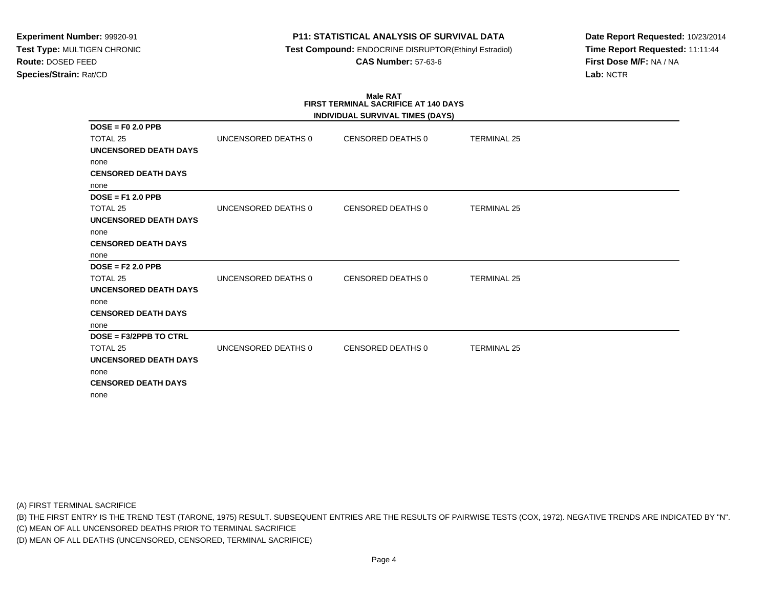## **P11: STATISTICAL ANALYSIS OF SURVIVAL DATA**

 **Test Compound:** ENDOCRINE DISRUPTOR(Ethinyl Estradiol)**CAS Number:** 57-63-6

**Date Report Requested:** 10/23/2014**Time Report Requested:** 11:11:44**First Dose M/F:** NA / NA**Lab:** NCTR

#### **Male RAT FIRST TERMINAL SACRIFICE AT 140 DAYSINDIVIDUAL SURVIVAL TIMES (DAYS)**

|                              |                     | INDIVIDUAL SURVIVAL TIMES (DAYS) |                    |  |
|------------------------------|---------------------|----------------------------------|--------------------|--|
| $DOSE = F0 2.0 PPB$          |                     |                                  |                    |  |
| TOTAL 25                     | UNCENSORED DEATHS 0 | CENSORED DEATHS 0                | <b>TERMINAL 25</b> |  |
| UNCENSORED DEATH DAYS        |                     |                                  |                    |  |
| none                         |                     |                                  |                    |  |
| <b>CENSORED DEATH DAYS</b>   |                     |                                  |                    |  |
| none                         |                     |                                  |                    |  |
| $DOSE = F12.0 PPB$           |                     |                                  |                    |  |
| TOTAL 25                     | UNCENSORED DEATHS 0 | CENSORED DEATHS 0                | <b>TERMINAL 25</b> |  |
| <b>UNCENSORED DEATH DAYS</b> |                     |                                  |                    |  |
| none                         |                     |                                  |                    |  |
| <b>CENSORED DEATH DAYS</b>   |                     |                                  |                    |  |
| none                         |                     |                                  |                    |  |
| $DOSE = F2 2.0 PPB$          |                     |                                  |                    |  |
| TOTAL 25                     | UNCENSORED DEATHS 0 | CENSORED DEATHS 0                | <b>TERMINAL 25</b> |  |
| <b>UNCENSORED DEATH DAYS</b> |                     |                                  |                    |  |
| none                         |                     |                                  |                    |  |
| <b>CENSORED DEATH DAYS</b>   |                     |                                  |                    |  |
| none                         |                     |                                  |                    |  |
| $DOSE = F3/2PPB TO CTRL$     |                     |                                  |                    |  |
| TOTAL 25                     | UNCENSORED DEATHS 0 | CENSORED DEATHS 0                | <b>TERMINAL 25</b> |  |
| UNCENSORED DEATH DAYS        |                     |                                  |                    |  |
| none                         |                     |                                  |                    |  |
| <b>CENSORED DEATH DAYS</b>   |                     |                                  |                    |  |
| none                         |                     |                                  |                    |  |

(A) FIRST TERMINAL SACRIFICE

(B) THE FIRST ENTRY IS THE TREND TEST (TARONE, 1975) RESULT. SUBSEQUENT ENTRIES ARE THE RESULTS OF PAIRWISE TESTS (COX, 1972). NEGATIVE TRENDS ARE INDICATED BY "N".

(C) MEAN OF ALL UNCENSORED DEATHS PRIOR TO TERMINAL SACRIFICE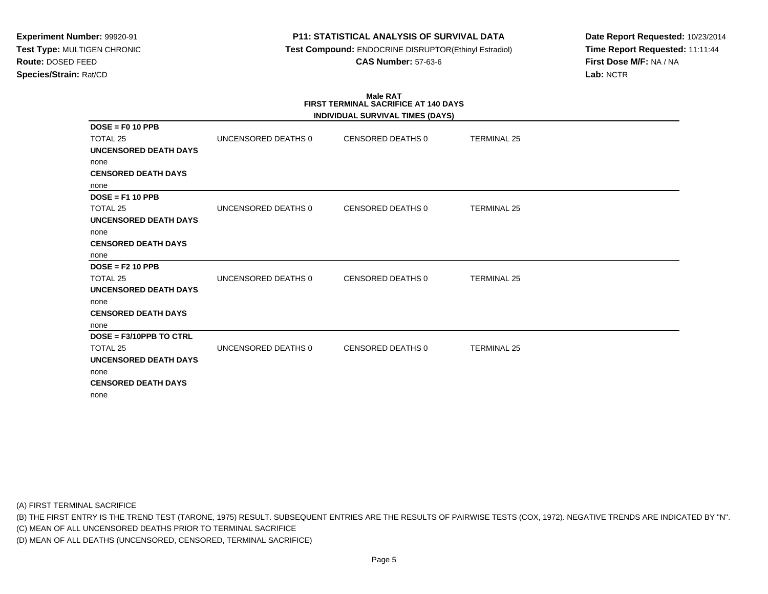## **P11: STATISTICAL ANALYSIS OF SURVIVAL DATA**

 **Test Compound:** ENDOCRINE DISRUPTOR(Ethinyl Estradiol)**CAS Number:** 57-63-6

**Date Report Requested:** 10/23/2014**Time Report Requested:** 11:11:44**First Dose M/F:** NA / NA**Lab:** NCTR

#### **Male RAT FIRST TERMINAL SACRIFICE AT 140 DAYSINDIVIDUAL SURVIVAL TIMES (DAYS)**

|                              |                     | INDIVIDUAL SURVIVAL TIMES (DAYS) |                    |  |
|------------------------------|---------------------|----------------------------------|--------------------|--|
| $DOSE = F0 10 PPB$           |                     |                                  |                    |  |
| TOTAL 25                     | UNCENSORED DEATHS 0 | <b>CENSORED DEATHS 0</b>         | <b>TERMINAL 25</b> |  |
| UNCENSORED DEATH DAYS        |                     |                                  |                    |  |
| none                         |                     |                                  |                    |  |
| <b>CENSORED DEATH DAYS</b>   |                     |                                  |                    |  |
| none                         |                     |                                  |                    |  |
| $DOSE = F1 10 PPB$           |                     |                                  |                    |  |
| TOTAL 25                     | UNCENSORED DEATHS 0 | <b>CENSORED DEATHS 0</b>         | <b>TERMINAL 25</b> |  |
| UNCENSORED DEATH DAYS        |                     |                                  |                    |  |
| none                         |                     |                                  |                    |  |
| <b>CENSORED DEATH DAYS</b>   |                     |                                  |                    |  |
| none                         |                     |                                  |                    |  |
| $DOSE = F2 10 PPB$           |                     |                                  |                    |  |
| TOTAL 25                     | UNCENSORED DEATHS 0 | <b>CENSORED DEATHS 0</b>         | <b>TERMINAL 25</b> |  |
| <b>UNCENSORED DEATH DAYS</b> |                     |                                  |                    |  |
| none                         |                     |                                  |                    |  |
| <b>CENSORED DEATH DAYS</b>   |                     |                                  |                    |  |
| none                         |                     |                                  |                    |  |
| DOSE = F3/10PPB TO CTRL      |                     |                                  |                    |  |
| TOTAL 25                     | UNCENSORED DEATHS 0 | <b>CENSORED DEATHS 0</b>         | <b>TERMINAL 25</b> |  |
| <b>UNCENSORED DEATH DAYS</b> |                     |                                  |                    |  |
| none                         |                     |                                  |                    |  |
| <b>CENSORED DEATH DAYS</b>   |                     |                                  |                    |  |
| none                         |                     |                                  |                    |  |

(A) FIRST TERMINAL SACRIFICE

(B) THE FIRST ENTRY IS THE TREND TEST (TARONE, 1975) RESULT. SUBSEQUENT ENTRIES ARE THE RESULTS OF PAIRWISE TESTS (COX, 1972). NEGATIVE TRENDS ARE INDICATED BY "N".

(C) MEAN OF ALL UNCENSORED DEATHS PRIOR TO TERMINAL SACRIFICE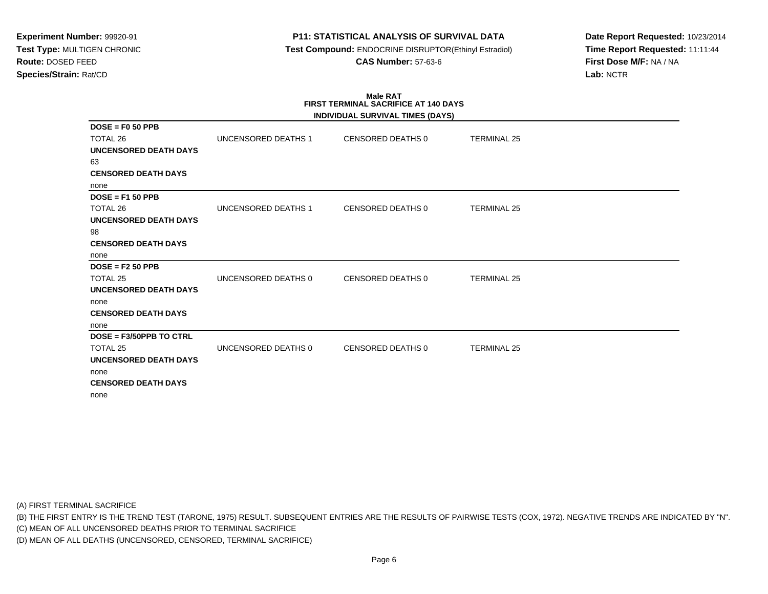## **P11: STATISTICAL ANALYSIS OF SURVIVAL DATA**

 **Test Compound:** ENDOCRINE DISRUPTOR(Ethinyl Estradiol)**CAS Number:** 57-63-6

**Date Report Requested:** 10/23/2014**Time Report Requested:** 11:11:44**First Dose M/F:** NA / NA**Lab:** NCTR

# **Male RATFIRST TERMINAL SACRIFICE AT 140 DAYS**

| INDIVIDUAL SURVIVAL TIMES (DAYS) |                            |                          |                    |  |  |  |
|----------------------------------|----------------------------|--------------------------|--------------------|--|--|--|
| $DOSE = F0 50 PPB$               |                            |                          |                    |  |  |  |
| TOTAL 26                         | <b>UNCENSORED DEATHS 1</b> | CENSORED DEATHS 0        | <b>TERMINAL 25</b> |  |  |  |
| UNCENSORED DEATH DAYS            |                            |                          |                    |  |  |  |
| 63                               |                            |                          |                    |  |  |  |
| <b>CENSORED DEATH DAYS</b>       |                            |                          |                    |  |  |  |
| none                             |                            |                          |                    |  |  |  |
| $DOSE = F150 PPB$                |                            |                          |                    |  |  |  |
| TOTAL 26                         | UNCENSORED DEATHS 1        | <b>CENSORED DEATHS 0</b> | <b>TERMINAL 25</b> |  |  |  |
| <b>UNCENSORED DEATH DAYS</b>     |                            |                          |                    |  |  |  |
| 98                               |                            |                          |                    |  |  |  |
| <b>CENSORED DEATH DAYS</b>       |                            |                          |                    |  |  |  |
| none                             |                            |                          |                    |  |  |  |
| $DOSE = F2 50 PPB$               |                            |                          |                    |  |  |  |
| TOTAL <sub>25</sub>              | UNCENSORED DEATHS 0        | <b>CENSORED DEATHS 0</b> | <b>TERMINAL 25</b> |  |  |  |
| UNCENSORED DEATH DAYS            |                            |                          |                    |  |  |  |
| none                             |                            |                          |                    |  |  |  |
| <b>CENSORED DEATH DAYS</b>       |                            |                          |                    |  |  |  |
| none                             |                            |                          |                    |  |  |  |
| DOSE = F3/50PPB TO CTRL          |                            |                          |                    |  |  |  |
| TOTAL 25                         | UNCENSORED DEATHS 0        | <b>CENSORED DEATHS 0</b> | <b>TERMINAL 25</b> |  |  |  |
| <b>UNCENSORED DEATH DAYS</b>     |                            |                          |                    |  |  |  |
| none                             |                            |                          |                    |  |  |  |
| <b>CENSORED DEATH DAYS</b>       |                            |                          |                    |  |  |  |
| none                             |                            |                          |                    |  |  |  |

(A) FIRST TERMINAL SACRIFICE

(B) THE FIRST ENTRY IS THE TREND TEST (TARONE, 1975) RESULT. SUBSEQUENT ENTRIES ARE THE RESULTS OF PAIRWISE TESTS (COX, 1972). NEGATIVE TRENDS ARE INDICATED BY "N".

(C) MEAN OF ALL UNCENSORED DEATHS PRIOR TO TERMINAL SACRIFICE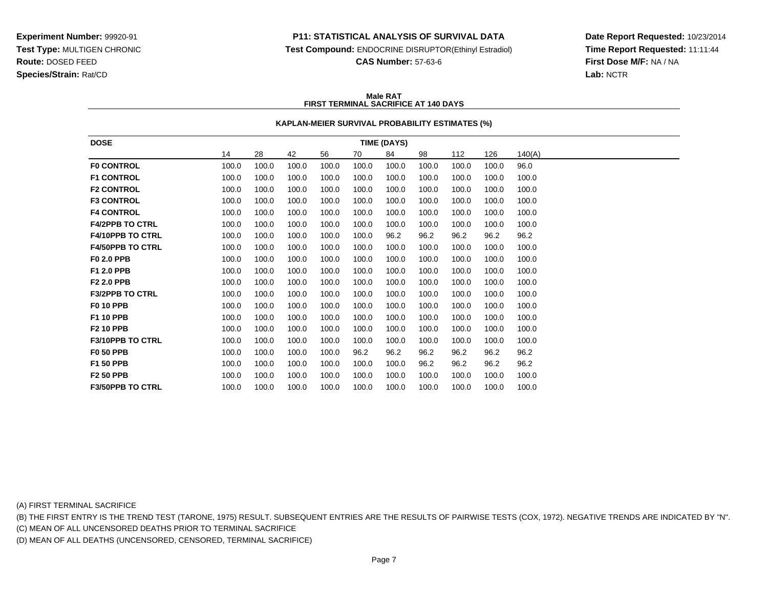### **P11: STATISTICAL ANALYSIS OF SURVIVAL DATA**

**Test Compound:** ENDOCRINE DISRUPTOR(Ethinyl Estradiol)

**CAS Number:** 57-63-6

**Date Report Requested:** 10/23/2014**Time Report Requested:** 11:11:44**First Dose M/F:** NA / NA**Lab:** NCTR

### **Male RATFIRST TERMINAL SACRIFICE AT 140 DAYS**

### **KAPLAN-MEIER SURVIVAL PROBABILITY ESTIMATES (%)**

| <b>DOSE</b>             | TIME (DAYS) |       |       |       |       |       |       |       |       |        |
|-------------------------|-------------|-------|-------|-------|-------|-------|-------|-------|-------|--------|
|                         | 14          | 28    | 42    | 56    | 70    | 84    | 98    | 112   | 126   | 140(A) |
| <b>F0 CONTROL</b>       | 100.0       | 100.0 | 100.0 | 100.0 | 100.0 | 100.0 | 100.0 | 100.0 | 100.0 | 96.0   |
| <b>F1 CONTROL</b>       | 100.0       | 100.0 | 100.0 | 100.0 | 100.0 | 100.0 | 100.0 | 100.0 | 100.0 | 100.0  |
| <b>F2 CONTROL</b>       | 100.0       | 100.0 | 100.0 | 100.0 | 100.0 | 100.0 | 100.0 | 100.0 | 100.0 | 100.0  |
| <b>F3 CONTROL</b>       | 100.0       | 100.0 | 100.0 | 100.0 | 100.0 | 100.0 | 100.0 | 100.0 | 100.0 | 100.0  |
| <b>F4 CONTROL</b>       | 100.0       | 100.0 | 100.0 | 100.0 | 100.0 | 100.0 | 100.0 | 100.0 | 100.0 | 100.0  |
| <b>F4/2PPB TO CTRL</b>  | 100.0       | 100.0 | 100.0 | 100.0 | 100.0 | 100.0 | 100.0 | 100.0 | 100.0 | 100.0  |
| F4/10PPB TO CTRL        | 100.0       | 100.0 | 100.0 | 100.0 | 100.0 | 96.2  | 96.2  | 96.2  | 96.2  | 96.2   |
| <b>F4/50PPB TO CTRL</b> | 100.0       | 100.0 | 100.0 | 100.0 | 100.0 | 100.0 | 100.0 | 100.0 | 100.0 | 100.0  |
| F0 2.0 PPB              | 100.0       | 100.0 | 100.0 | 100.0 | 100.0 | 100.0 | 100.0 | 100.0 | 100.0 | 100.0  |
| F1 2.0 PPB              | 100.0       | 100.0 | 100.0 | 100.0 | 100.0 | 100.0 | 100.0 | 100.0 | 100.0 | 100.0  |
| F2 2.0 PPB              | 100.0       | 100.0 | 100.0 | 100.0 | 100.0 | 100.0 | 100.0 | 100.0 | 100.0 | 100.0  |
| <b>F3/2PPB TO CTRL</b>  | 100.0       | 100.0 | 100.0 | 100.0 | 100.0 | 100.0 | 100.0 | 100.0 | 100.0 | 100.0  |
| <b>F0 10 PPB</b>        | 100.0       | 100.0 | 100.0 | 100.0 | 100.0 | 100.0 | 100.0 | 100.0 | 100.0 | 100.0  |
| F1 10 PPB               | 100.0       | 100.0 | 100.0 | 100.0 | 100.0 | 100.0 | 100.0 | 100.0 | 100.0 | 100.0  |
| <b>F2 10 PPB</b>        | 100.0       | 100.0 | 100.0 | 100.0 | 100.0 | 100.0 | 100.0 | 100.0 | 100.0 | 100.0  |
| <b>F3/10PPB TO CTRL</b> | 100.0       | 100.0 | 100.0 | 100.0 | 100.0 | 100.0 | 100.0 | 100.0 | 100.0 | 100.0  |
| <b>F0 50 PPB</b>        | 100.0       | 100.0 | 100.0 | 100.0 | 96.2  | 96.2  | 96.2  | 96.2  | 96.2  | 96.2   |
| F1 50 PPB               | 100.0       | 100.0 | 100.0 | 100.0 | 100.0 | 100.0 | 96.2  | 96.2  | 96.2  | 96.2   |
| <b>F2 50 PPB</b>        | 100.0       | 100.0 | 100.0 | 100.0 | 100.0 | 100.0 | 100.0 | 100.0 | 100.0 | 100.0  |
| <b>F3/50PPB TO CTRL</b> | 100.0       | 100.0 | 100.0 | 100.0 | 100.0 | 100.0 | 100.0 | 100.0 | 100.0 | 100.0  |

(A) FIRST TERMINAL SACRIFICE

(B) THE FIRST ENTRY IS THE TREND TEST (TARONE, 1975) RESULT. SUBSEQUENT ENTRIES ARE THE RESULTS OF PAIRWISE TESTS (COX, 1972). NEGATIVE TRENDS ARE INDICATED BY "N".

(C) MEAN OF ALL UNCENSORED DEATHS PRIOR TO TERMINAL SACRIFICE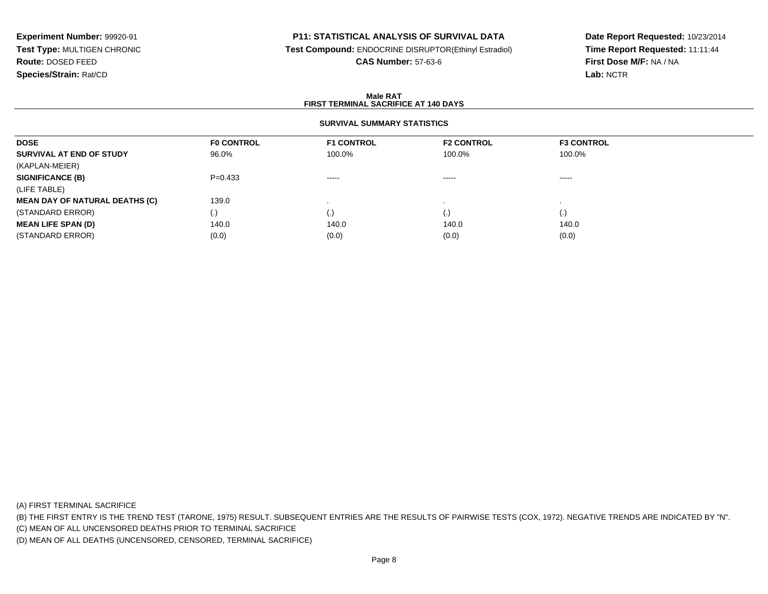## **P11: STATISTICAL ANALYSIS OF SURVIVAL DATA**

**Test Compound:** ENDOCRINE DISRUPTOR(Ethinyl Estradiol)

**CAS Number:** 57-63-6

**Date Report Requested:** 10/23/2014**Time Report Requested:** 11:11:44**First Dose M/F:** NA / NA**Lab:** NCTR

### **Male RATFIRST TERMINAL SACRIFICE AT 140 DAYS**

## **SURVIVAL SUMMARY STATISTICS**

| <b>DOSE</b>                           | <b>FO CONTROL</b> | <b>F1 CONTROL</b>                                                                                                                                                                                                                                                                                                                                                                                                                                                                      | <b>F2 CONTROL</b> | <b>F3 CONTROL</b>  |  |
|---------------------------------------|-------------------|----------------------------------------------------------------------------------------------------------------------------------------------------------------------------------------------------------------------------------------------------------------------------------------------------------------------------------------------------------------------------------------------------------------------------------------------------------------------------------------|-------------------|--------------------|--|
| SURVIVAL AT END OF STUDY              | 96.0%             | 100.0%                                                                                                                                                                                                                                                                                                                                                                                                                                                                                 | 100.0%            | 100.0%             |  |
| (KAPLAN-MEIER)                        |                   |                                                                                                                                                                                                                                                                                                                                                                                                                                                                                        |                   |                    |  |
| <b>SIGNIFICANCE (B)</b>               | $P=0.433$         | $\begin{array}{cccccccccccccc} \multicolumn{2}{c}{} & \multicolumn{2}{c}{} & \multicolumn{2}{c}{} & \multicolumn{2}{c}{} & \multicolumn{2}{c}{} & \multicolumn{2}{c}{} & \multicolumn{2}{c}{} & \multicolumn{2}{c}{} & \multicolumn{2}{c}{} & \multicolumn{2}{c}{} & \multicolumn{2}{c}{} & \multicolumn{2}{c}{} & \multicolumn{2}{c}{} & \multicolumn{2}{c}{} & \multicolumn{2}{c}{} & \multicolumn{2}{c}{} & \multicolumn{2}{c}{} & \multicolumn{2}{c}{} & \multicolumn{2}{c}{} & \$ | -----             | $- - - - -$        |  |
| (LIFE TABLE)                          |                   |                                                                                                                                                                                                                                                                                                                                                                                                                                                                                        |                   |                    |  |
| <b>MEAN DAY OF NATURAL DEATHS (C)</b> | 139.0             |                                                                                                                                                                                                                                                                                                                                                                                                                                                                                        |                   |                    |  |
| (STANDARD ERROR)                      | $\left( .\right)$ |                                                                                                                                                                                                                                                                                                                                                                                                                                                                                        | (.)               | $\left( . \right)$ |  |
| <b>MEAN LIFE SPAN (D)</b>             | 140.0             | 140.0                                                                                                                                                                                                                                                                                                                                                                                                                                                                                  | 140.0             | 140.0              |  |
| (STANDARD ERROR)                      | (0.0)             | (0.0)                                                                                                                                                                                                                                                                                                                                                                                                                                                                                  | (0.0)             | (0.0)              |  |

(A) FIRST TERMINAL SACRIFICE

(B) THE FIRST ENTRY IS THE TREND TEST (TARONE, 1975) RESULT. SUBSEQUENT ENTRIES ARE THE RESULTS OF PAIRWISE TESTS (COX, 1972). NEGATIVE TRENDS ARE INDICATED BY "N".

(C) MEAN OF ALL UNCENSORED DEATHS PRIOR TO TERMINAL SACRIFICE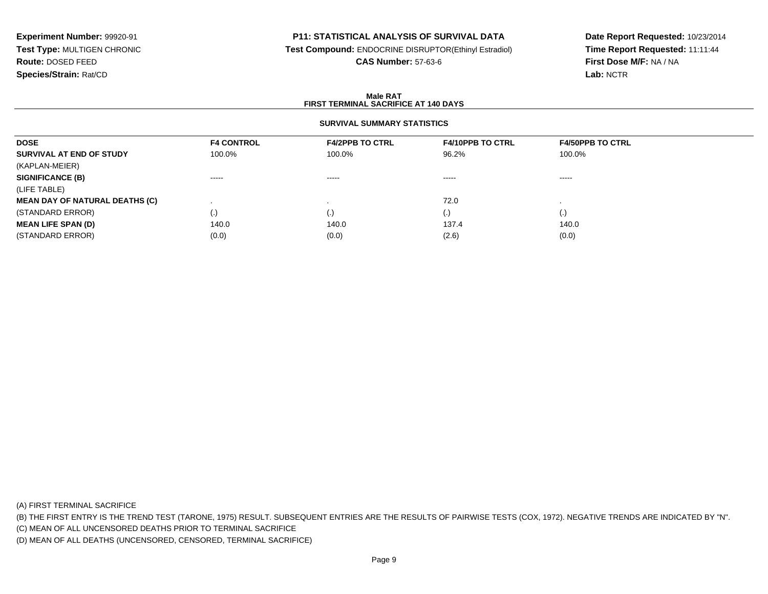## **P11: STATISTICAL ANALYSIS OF SURVIVAL DATA**

**Test Compound:** ENDOCRINE DISRUPTOR(Ethinyl Estradiol)

**CAS Number:** 57-63-6

**Date Report Requested:** 10/23/2014**Time Report Requested:** 11:11:44**First Dose M/F:** NA / NA**Lab:** NCTR

### **Male RATFIRST TERMINAL SACRIFICE AT 140 DAYS**

## **SURVIVAL SUMMARY STATISTICS**

| <b>DOSE</b>                           | <b>F4 CONTROL</b> | <b>F4/2PPB TO CTRL</b> | <b>F4/10PPB TO CTRL</b> | <b>F4/50PPB TO CTRL</b> |
|---------------------------------------|-------------------|------------------------|-------------------------|-------------------------|
| SURVIVAL AT END OF STUDY              | 100.0%            | 100.0%                 | 96.2%                   | 100.0%                  |
| (KAPLAN-MEIER)                        |                   |                        |                         |                         |
| <b>SIGNIFICANCE (B)</b>               | $\cdots$          | $\cdots \cdots \cdots$ | $\cdots \cdots \cdots$  | $\cdots \cdots \cdots$  |
| (LIFE TABLE)                          |                   |                        |                         |                         |
| <b>MEAN DAY OF NATURAL DEATHS (C)</b> |                   |                        | 72.0                    |                         |
| (STANDARD ERROR)                      | (.)               | (.)                    | $\cdot$                 | (.)                     |
| <b>MEAN LIFE SPAN (D)</b>             | 140.0             | 140.0                  | 137.4                   | 140.0                   |
| (STANDARD ERROR)                      | (0.0)             | (0.0)                  | (2.6)                   | (0.0)                   |

(A) FIRST TERMINAL SACRIFICE

(B) THE FIRST ENTRY IS THE TREND TEST (TARONE, 1975) RESULT. SUBSEQUENT ENTRIES ARE THE RESULTS OF PAIRWISE TESTS (COX, 1972). NEGATIVE TRENDS ARE INDICATED BY "N".

(C) MEAN OF ALL UNCENSORED DEATHS PRIOR TO TERMINAL SACRIFICE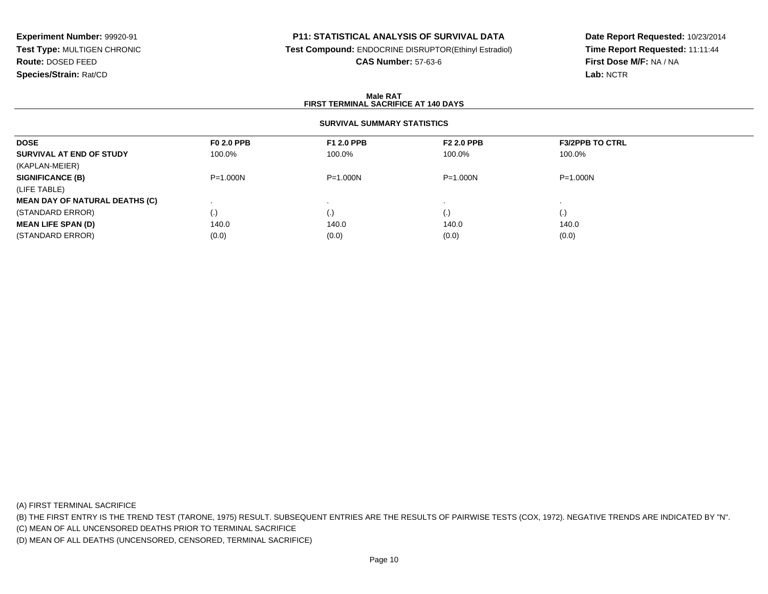## **P11: STATISTICAL ANALYSIS OF SURVIVAL DATA**

**Test Compound:** ENDOCRINE DISRUPTOR(Ethinyl Estradiol)

**CAS Number:** 57-63-6

**Date Report Requested:** 10/23/2014**Time Report Requested:** 11:11:44**First Dose M/F:** NA / NA**Lab:** NCTR

### **Male RATFIRST TERMINAL SACRIFICE AT 140 DAYS**

## **SURVIVAL SUMMARY STATISTICS**

| <b>DOSE</b>                           | <b>F0 2.0 PPB</b> | <b>F1 2.0 PPB</b> | <b>F2 2.0 PPB</b> | <b>F3/2PPB TO CTRL</b> |
|---------------------------------------|-------------------|-------------------|-------------------|------------------------|
| SURVIVAL AT END OF STUDY              | 100.0%            | 100.0%            | 100.0%            | 100.0%                 |
| (KAPLAN-MEIER)                        |                   |                   |                   |                        |
| <b>SIGNIFICANCE (B)</b>               | $P = 1.000N$      | $P = 1.000N$      | $P = 1.000N$      | $P = 1.000N$           |
| (LIFE TABLE)                          |                   |                   |                   |                        |
| <b>MEAN DAY OF NATURAL DEATHS (C)</b> |                   |                   |                   |                        |
| (STANDARD ERROR)                      | (.)               | (.)               |                   | $\left( .\right)$      |
| <b>MEAN LIFE SPAN (D)</b>             | 140.0             | 140.0             | 140.0             | 140.0                  |
| (STANDARD ERROR)                      | (0.0)             | (0.0)             | (0.0)             | (0.0)                  |

(A) FIRST TERMINAL SACRIFICE

(B) THE FIRST ENTRY IS THE TREND TEST (TARONE, 1975) RESULT. SUBSEQUENT ENTRIES ARE THE RESULTS OF PAIRWISE TESTS (COX, 1972). NEGATIVE TRENDS ARE INDICATED BY "N".

(C) MEAN OF ALL UNCENSORED DEATHS PRIOR TO TERMINAL SACRIFICE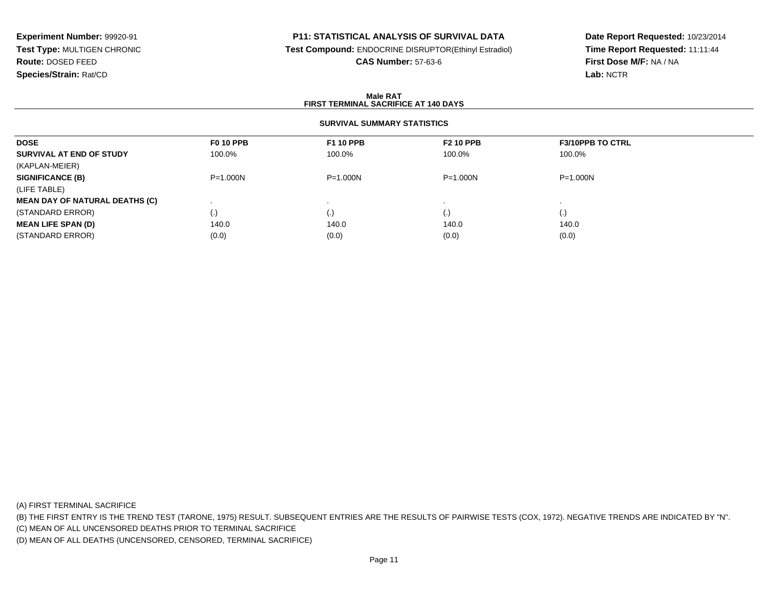## **P11: STATISTICAL ANALYSIS OF SURVIVAL DATA**

**Test Compound:** ENDOCRINE DISRUPTOR(Ethinyl Estradiol)

**CAS Number:** 57-63-6

**Date Report Requested:** 10/23/2014**Time Report Requested:** 11:11:44**First Dose M/F:** NA / NA**Lab:** NCTR

### **Male RATFIRST TERMINAL SACRIFICE AT 140 DAYS**

## **SURVIVAL SUMMARY STATISTICS**

| <b>DOSE</b>                           | <b>F0 10 PPB</b> | <b>F1 10 PPB</b> | <b>F2 10 PPB</b> | <b>F3/10PPB TO CTRL</b> |
|---------------------------------------|------------------|------------------|------------------|-------------------------|
| SURVIVAL AT END OF STUDY              | 100.0%           | 100.0%           | 100.0%           | 100.0%                  |
| (KAPLAN-MEIER)                        |                  |                  |                  |                         |
| <b>SIGNIFICANCE (B)</b>               | $P = 1.000N$     | $P = 1.000N$     | $P = 1.000N$     | $P = 1.000N$            |
| (LIFE TABLE)                          |                  |                  |                  |                         |
| <b>MEAN DAY OF NATURAL DEATHS (C)</b> |                  |                  |                  |                         |
| (STANDARD ERROR)                      | (.)              | (.)              | $\cdot$          | (.)                     |
| <b>MEAN LIFE SPAN (D)</b>             | 140.0            | 140.0            | 140.0            | 140.0                   |
| (STANDARD ERROR)                      | (0.0)            | (0.0)            | (0.0)            | (0.0)                   |

(A) FIRST TERMINAL SACRIFICE

(B) THE FIRST ENTRY IS THE TREND TEST (TARONE, 1975) RESULT. SUBSEQUENT ENTRIES ARE THE RESULTS OF PAIRWISE TESTS (COX, 1972). NEGATIVE TRENDS ARE INDICATED BY "N".

(C) MEAN OF ALL UNCENSORED DEATHS PRIOR TO TERMINAL SACRIFICE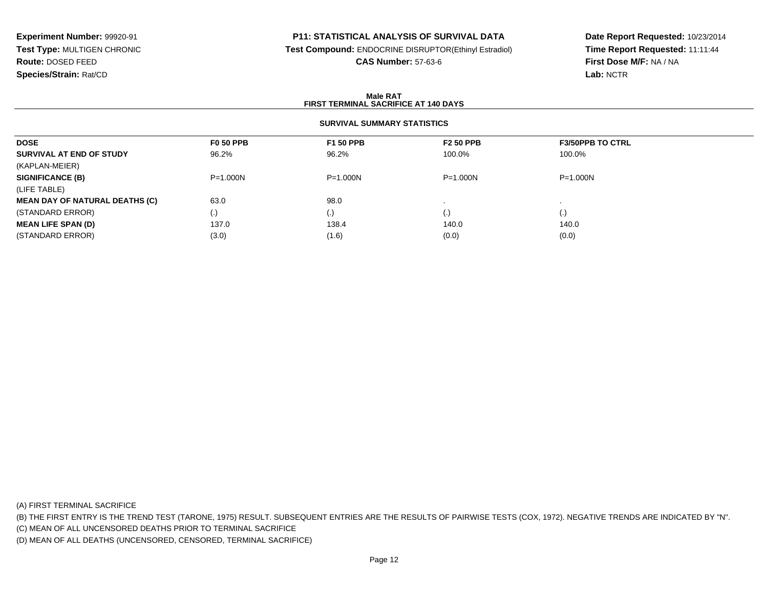### **P11: STATISTICAL ANALYSIS OF SURVIVAL DATA**

**Test Compound:** ENDOCRINE DISRUPTOR(Ethinyl Estradiol)

**CAS Number:** 57-63-6

**Date Report Requested:** 10/23/2014**Time Report Requested:** 11:11:44**First Dose M/F:** NA / NA**Lab:** NCTR

### **Male RATFIRST TERMINAL SACRIFICE AT 140 DAYS**

### **SURVIVAL SUMMARY STATISTICS**

| <b>DOSE</b>                           | <b>F0 50 PPB</b>   | <b>F1 50 PPB</b> | <b>F2 50 PPB</b> | <b>F3/50PPB TO CTRL</b> |  |
|---------------------------------------|--------------------|------------------|------------------|-------------------------|--|
| SURVIVAL AT END OF STUDY              | 96.2%              | 96.2%            | 100.0%           | 100.0%                  |  |
| (KAPLAN-MEIER)                        |                    |                  |                  |                         |  |
| <b>SIGNIFICANCE (B)</b>               | $P = 1.000N$       | $P = 1.000N$     | $P = 1.000N$     | $P = 1.000N$            |  |
| (LIFE TABLE)                          |                    |                  |                  |                         |  |
| <b>MEAN DAY OF NATURAL DEATHS (C)</b> | 63.0               | 98.0             |                  |                         |  |
| (STANDARD ERROR)                      | $\left( . \right)$ | (.)              | (.)              | (.)                     |  |
| <b>MEAN LIFE SPAN (D)</b>             | 137.0              | 138.4            | 140.0            | 140.0                   |  |
| (STANDARD ERROR)                      | (3.0)              | (1.6)            | (0.0)            | (0.0)                   |  |

(A) FIRST TERMINAL SACRIFICE

(B) THE FIRST ENTRY IS THE TREND TEST (TARONE, 1975) RESULT. SUBSEQUENT ENTRIES ARE THE RESULTS OF PAIRWISE TESTS (COX, 1972). NEGATIVE TRENDS ARE INDICATED BY "N".

(C) MEAN OF ALL UNCENSORED DEATHS PRIOR TO TERMINAL SACRIFICE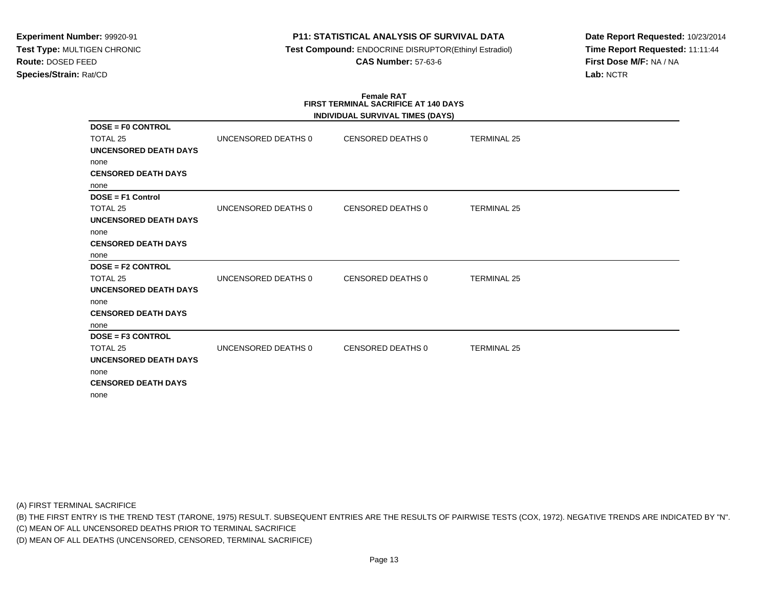## **P11: STATISTICAL ANALYSIS OF SURVIVAL DATA**

 **Test Compound:** ENDOCRINE DISRUPTOR(Ethinyl Estradiol)**CAS Number:** 57-63-6

**Date Report Requested:** 10/23/2014**Time Report Requested:** 11:11:44**First Dose M/F:** NA / NA**Lab:** NCTR

#### **Female RAT FIRST TERMINAL SACRIFICE AT 140 DAYSINDIVIDUAL SURVIVAL TIMES (DAYS)**

|                              |                     | INDIVIDUAL SURVIVAL TIMES (DAYS) |                    |  |
|------------------------------|---------------------|----------------------------------|--------------------|--|
| <b>DOSE = F0 CONTROL</b>     |                     |                                  |                    |  |
| TOTAL 25                     | UNCENSORED DEATHS 0 | CENSORED DEATHS 0                | <b>TERMINAL 25</b> |  |
| UNCENSORED DEATH DAYS        |                     |                                  |                    |  |
| none                         |                     |                                  |                    |  |
| <b>CENSORED DEATH DAYS</b>   |                     |                                  |                    |  |
| none                         |                     |                                  |                    |  |
| $DOSE = F1$ Control          |                     |                                  |                    |  |
| TOTAL 25                     | UNCENSORED DEATHS 0 | CENSORED DEATHS 0                | <b>TERMINAL 25</b> |  |
| <b>UNCENSORED DEATH DAYS</b> |                     |                                  |                    |  |
| none                         |                     |                                  |                    |  |
| <b>CENSORED DEATH DAYS</b>   |                     |                                  |                    |  |
| none                         |                     |                                  |                    |  |
| <b>DOSE = F2 CONTROL</b>     |                     |                                  |                    |  |
| TOTAL 25                     | UNCENSORED DEATHS 0 | CENSORED DEATHS 0                | <b>TERMINAL 25</b> |  |
| <b>UNCENSORED DEATH DAYS</b> |                     |                                  |                    |  |
| none                         |                     |                                  |                    |  |
| <b>CENSORED DEATH DAYS</b>   |                     |                                  |                    |  |
| none                         |                     |                                  |                    |  |
| <b>DOSE = F3 CONTROL</b>     |                     |                                  |                    |  |
| TOTAL 25                     | UNCENSORED DEATHS 0 | CENSORED DEATHS 0                | <b>TERMINAL 25</b> |  |
| UNCENSORED DEATH DAYS        |                     |                                  |                    |  |
| none                         |                     |                                  |                    |  |
| <b>CENSORED DEATH DAYS</b>   |                     |                                  |                    |  |
| none                         |                     |                                  |                    |  |

(A) FIRST TERMINAL SACRIFICE

(B) THE FIRST ENTRY IS THE TREND TEST (TARONE, 1975) RESULT. SUBSEQUENT ENTRIES ARE THE RESULTS OF PAIRWISE TESTS (COX, 1972). NEGATIVE TRENDS ARE INDICATED BY "N".

(C) MEAN OF ALL UNCENSORED DEATHS PRIOR TO TERMINAL SACRIFICE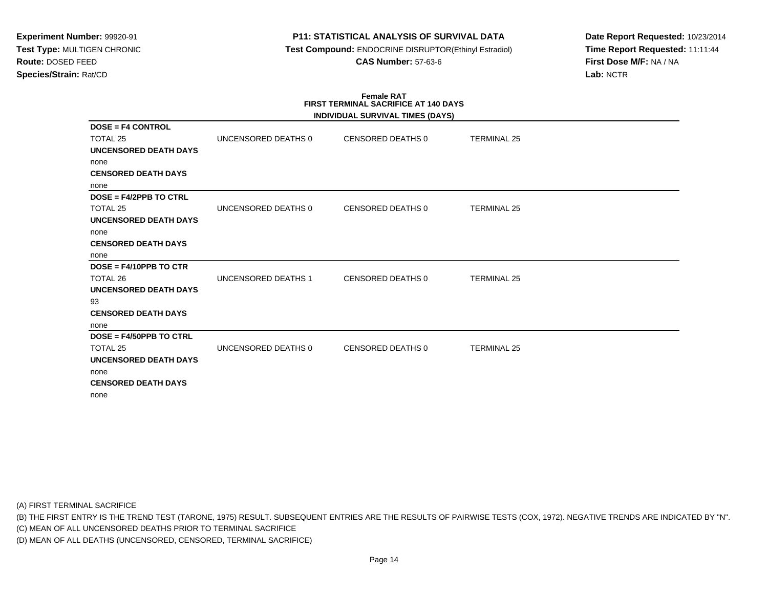## **P11: STATISTICAL ANALYSIS OF SURVIVAL DATA**

 **Test Compound:** ENDOCRINE DISRUPTOR(Ethinyl Estradiol)**CAS Number:** 57-63-6

**Date Report Requested:** 10/23/2014**Time Report Requested:** 11:11:44**First Dose M/F:** NA / NA**Lab:** NCTR

#### **Female RAT FIRST TERMINAL SACRIFICE AT 140 DAYSINDIVIDUAL SURVIVAL TIMES (DAYS)**

|                              |                     | INDIVIDUAL SURVIVAL TIMES (DAYS) |                    |  |
|------------------------------|---------------------|----------------------------------|--------------------|--|
| <b>DOSE = F4 CONTROL</b>     |                     |                                  |                    |  |
| TOTAL 25                     | UNCENSORED DEATHS 0 | CENSORED DEATHS 0                | <b>TERMINAL 25</b> |  |
| UNCENSORED DEATH DAYS        |                     |                                  |                    |  |
| none                         |                     |                                  |                    |  |
| <b>CENSORED DEATH DAYS</b>   |                     |                                  |                    |  |
| none                         |                     |                                  |                    |  |
| DOSE = F4/2PPB TO CTRL       |                     |                                  |                    |  |
| TOTAL 25                     | UNCENSORED DEATHS 0 | CENSORED DEATHS 0                | <b>TERMINAL 25</b> |  |
| UNCENSORED DEATH DAYS        |                     |                                  |                    |  |
| none                         |                     |                                  |                    |  |
| <b>CENSORED DEATH DAYS</b>   |                     |                                  |                    |  |
| none                         |                     |                                  |                    |  |
| $DOSE = F4/10PPB TO CTR$     |                     |                                  |                    |  |
| TOTAL 26                     | UNCENSORED DEATHS 1 | CENSORED DEATHS 0                | <b>TERMINAL 25</b> |  |
| <b>UNCENSORED DEATH DAYS</b> |                     |                                  |                    |  |
| 93                           |                     |                                  |                    |  |
| <b>CENSORED DEATH DAYS</b>   |                     |                                  |                    |  |
| none                         |                     |                                  |                    |  |
| DOSE = F4/50PPB TO CTRL      |                     |                                  |                    |  |
| TOTAL 25                     | UNCENSORED DEATHS 0 | <b>CENSORED DEATHS 0</b>         | <b>TERMINAL 25</b> |  |
| UNCENSORED DEATH DAYS        |                     |                                  |                    |  |
| none                         |                     |                                  |                    |  |
| <b>CENSORED DEATH DAYS</b>   |                     |                                  |                    |  |
| none                         |                     |                                  |                    |  |

(A) FIRST TERMINAL SACRIFICE

(B) THE FIRST ENTRY IS THE TREND TEST (TARONE, 1975) RESULT. SUBSEQUENT ENTRIES ARE THE RESULTS OF PAIRWISE TESTS (COX, 1972). NEGATIVE TRENDS ARE INDICATED BY "N".

(C) MEAN OF ALL UNCENSORED DEATHS PRIOR TO TERMINAL SACRIFICE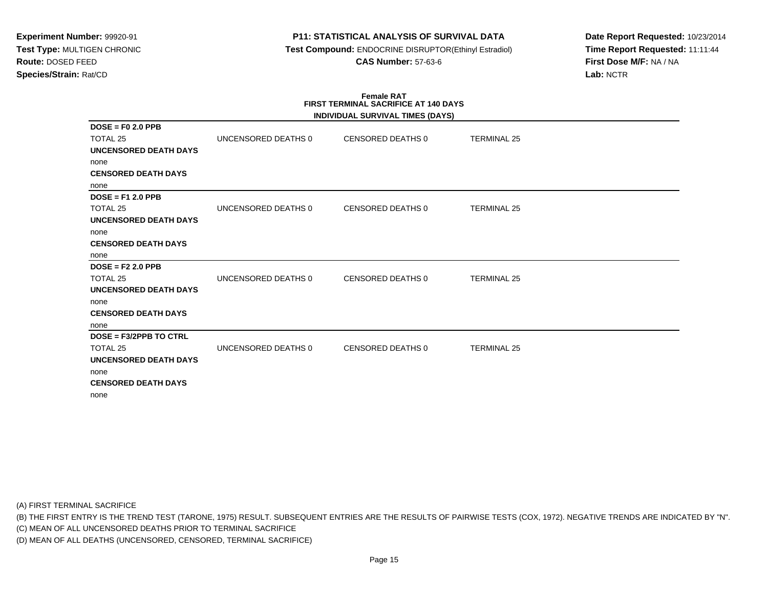## **P11: STATISTICAL ANALYSIS OF SURVIVAL DATA**

 **Test Compound:** ENDOCRINE DISRUPTOR(Ethinyl Estradiol)**CAS Number:** 57-63-6

**Date Report Requested:** 10/23/2014**Time Report Requested:** 11:11:44**First Dose M/F:** NA / NA**Lab:** NCTR

#### **Female RAT FIRST TERMINAL SACRIFICE AT 140 DAYSINDIVIDUAL SURVIVAL TIMES (DAYS)**

|                              |                     | INDIVIDUAL SURVIVAL TIMES (DAYS) |                    |  |
|------------------------------|---------------------|----------------------------------|--------------------|--|
| $DOSE = F02.0 PPB$           |                     |                                  |                    |  |
| TOTAL 25                     | UNCENSORED DEATHS 0 | <b>CENSORED DEATHS 0</b>         | <b>TERMINAL 25</b> |  |
| UNCENSORED DEATH DAYS        |                     |                                  |                    |  |
| none                         |                     |                                  |                    |  |
| <b>CENSORED DEATH DAYS</b>   |                     |                                  |                    |  |
| none                         |                     |                                  |                    |  |
| $DOSE = F12.0 PPB$           |                     |                                  |                    |  |
| TOTAL 25                     | UNCENSORED DEATHS 0 | <b>CENSORED DEATHS 0</b>         | <b>TERMINAL 25</b> |  |
| UNCENSORED DEATH DAYS        |                     |                                  |                    |  |
| none                         |                     |                                  |                    |  |
| <b>CENSORED DEATH DAYS</b>   |                     |                                  |                    |  |
| none                         |                     |                                  |                    |  |
| $DOSE = F2 2.0 PPB$          |                     |                                  |                    |  |
| TOTAL 25                     | UNCENSORED DEATHS 0 | <b>CENSORED DEATHS 0</b>         | <b>TERMINAL 25</b> |  |
| <b>UNCENSORED DEATH DAYS</b> |                     |                                  |                    |  |
| none                         |                     |                                  |                    |  |
| <b>CENSORED DEATH DAYS</b>   |                     |                                  |                    |  |
| none                         |                     |                                  |                    |  |
| $DOSE = F3/2PPB TO CTRL$     |                     |                                  |                    |  |
| TOTAL 25                     | UNCENSORED DEATHS 0 | <b>CENSORED DEATHS 0</b>         | <b>TERMINAL 25</b> |  |
| UNCENSORED DEATH DAYS        |                     |                                  |                    |  |
| none                         |                     |                                  |                    |  |
| <b>CENSORED DEATH DAYS</b>   |                     |                                  |                    |  |
| none                         |                     |                                  |                    |  |

(A) FIRST TERMINAL SACRIFICE

(B) THE FIRST ENTRY IS THE TREND TEST (TARONE, 1975) RESULT. SUBSEQUENT ENTRIES ARE THE RESULTS OF PAIRWISE TESTS (COX, 1972). NEGATIVE TRENDS ARE INDICATED BY "N".

(C) MEAN OF ALL UNCENSORED DEATHS PRIOR TO TERMINAL SACRIFICE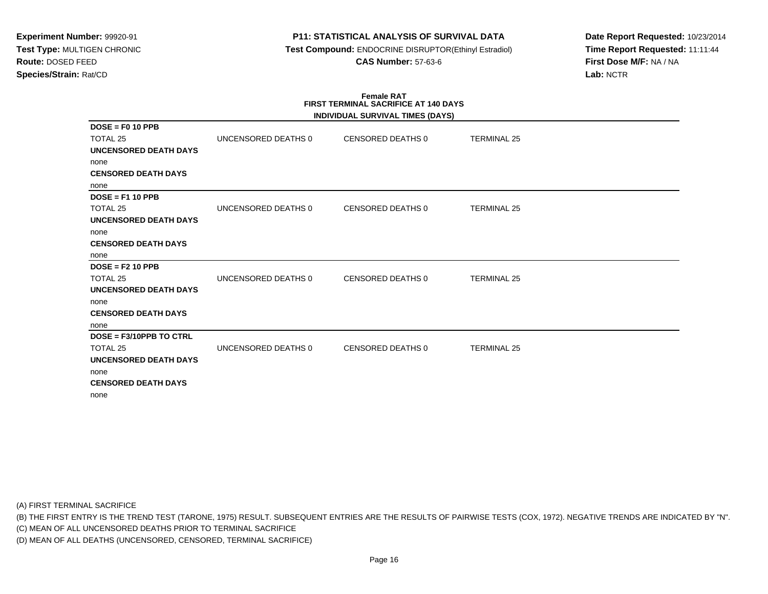## **P11: STATISTICAL ANALYSIS OF SURVIVAL DATA**

 **Test Compound:** ENDOCRINE DISRUPTOR(Ethinyl Estradiol)**CAS Number:** 57-63-6

**Date Report Requested:** 10/23/2014**Time Report Requested:** 11:11:44**First Dose M/F:** NA / NA**Lab:** NCTR

#### **Female RAT FIRST TERMINAL SACRIFICE AT 140 DAYSINDIVIDUAL SURVIVAL TIMES (DAYS)**

|                              |                     | INDIVIDUAL SURVIVAL TIMES (DAYS) |                    |  |
|------------------------------|---------------------|----------------------------------|--------------------|--|
| $DOSE = F0 10 PPB$           |                     |                                  |                    |  |
| TOTAL 25                     | UNCENSORED DEATHS 0 | <b>CENSORED DEATHS 0</b>         | <b>TERMINAL 25</b> |  |
| UNCENSORED DEATH DAYS        |                     |                                  |                    |  |
| none                         |                     |                                  |                    |  |
| <b>CENSORED DEATH DAYS</b>   |                     |                                  |                    |  |
| none                         |                     |                                  |                    |  |
| $DOSE = F1 10 PPB$           |                     |                                  |                    |  |
| TOTAL 25                     | UNCENSORED DEATHS 0 | <b>CENSORED DEATHS 0</b>         | <b>TERMINAL 25</b> |  |
| UNCENSORED DEATH DAYS        |                     |                                  |                    |  |
| none                         |                     |                                  |                    |  |
| <b>CENSORED DEATH DAYS</b>   |                     |                                  |                    |  |
| none                         |                     |                                  |                    |  |
| $DOSE = F2 10 PPB$           |                     |                                  |                    |  |
| TOTAL 25                     | UNCENSORED DEATHS 0 | <b>CENSORED DEATHS 0</b>         | <b>TERMINAL 25</b> |  |
| <b>UNCENSORED DEATH DAYS</b> |                     |                                  |                    |  |
| none                         |                     |                                  |                    |  |
| <b>CENSORED DEATH DAYS</b>   |                     |                                  |                    |  |
| none                         |                     |                                  |                    |  |
| DOSE = F3/10PPB TO CTRL      |                     |                                  |                    |  |
| TOTAL 25                     | UNCENSORED DEATHS 0 | <b>CENSORED DEATHS 0</b>         | <b>TERMINAL 25</b> |  |
| UNCENSORED DEATH DAYS        |                     |                                  |                    |  |
| none                         |                     |                                  |                    |  |
| <b>CENSORED DEATH DAYS</b>   |                     |                                  |                    |  |
| none                         |                     |                                  |                    |  |

(A) FIRST TERMINAL SACRIFICE

(B) THE FIRST ENTRY IS THE TREND TEST (TARONE, 1975) RESULT. SUBSEQUENT ENTRIES ARE THE RESULTS OF PAIRWISE TESTS (COX, 1972). NEGATIVE TRENDS ARE INDICATED BY "N".

(C) MEAN OF ALL UNCENSORED DEATHS PRIOR TO TERMINAL SACRIFICE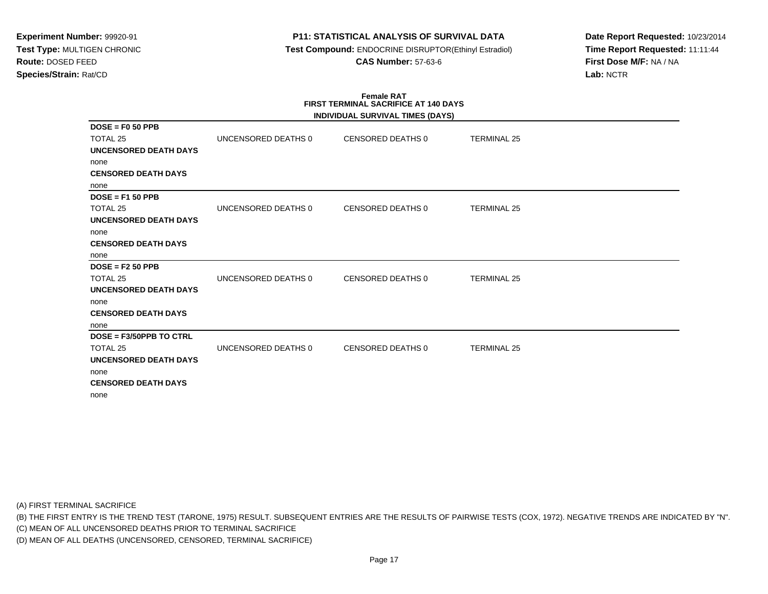## **P11: STATISTICAL ANALYSIS OF SURVIVAL DATA**

 **Test Compound:** ENDOCRINE DISRUPTOR(Ethinyl Estradiol)**CAS Number:** 57-63-6

**Date Report Requested:** 10/23/2014**Time Report Requested:** 11:11:44**First Dose M/F:** NA / NA**Lab:** NCTR

#### **Female RAT FIRST TERMINAL SACRIFICE AT 140 DAYSINDIVIDUAL SURVIVAL TIMES (DAYS)**

|                            |                     | INDIVIDUAL SURVIVAL TIMES (DAYS) |                    |  |
|----------------------------|---------------------|----------------------------------|--------------------|--|
| $DOSE = F0 50 PPB$         |                     |                                  |                    |  |
| TOTAL 25                   | UNCENSORED DEATHS 0 | <b>CENSORED DEATHS 0</b>         | <b>TERMINAL 25</b> |  |
| UNCENSORED DEATH DAYS      |                     |                                  |                    |  |
| none                       |                     |                                  |                    |  |
| <b>CENSORED DEATH DAYS</b> |                     |                                  |                    |  |
| none                       |                     |                                  |                    |  |
| $DOSE = F150 PPB$          |                     |                                  |                    |  |
| TOTAL 25                   | UNCENSORED DEATHS 0 | <b>CENSORED DEATHS 0</b>         | <b>TERMINAL 25</b> |  |
| UNCENSORED DEATH DAYS      |                     |                                  |                    |  |
| none                       |                     |                                  |                    |  |
| <b>CENSORED DEATH DAYS</b> |                     |                                  |                    |  |
| none                       |                     |                                  |                    |  |
| $DOSE = F2 50 PPB$         |                     |                                  |                    |  |
| TOTAL 25                   | UNCENSORED DEATHS 0 | <b>CENSORED DEATHS 0</b>         | <b>TERMINAL 25</b> |  |
| UNCENSORED DEATH DAYS      |                     |                                  |                    |  |
| none                       |                     |                                  |                    |  |
| <b>CENSORED DEATH DAYS</b> |                     |                                  |                    |  |
| none                       |                     |                                  |                    |  |
| DOSE = F3/50PPB TO CTRL    |                     |                                  |                    |  |
| TOTAL 25                   | UNCENSORED DEATHS 0 | <b>CENSORED DEATHS 0</b>         | <b>TERMINAL 25</b> |  |
| UNCENSORED DEATH DAYS      |                     |                                  |                    |  |
| none                       |                     |                                  |                    |  |
| <b>CENSORED DEATH DAYS</b> |                     |                                  |                    |  |
| none                       |                     |                                  |                    |  |

(A) FIRST TERMINAL SACRIFICE

(B) THE FIRST ENTRY IS THE TREND TEST (TARONE, 1975) RESULT. SUBSEQUENT ENTRIES ARE THE RESULTS OF PAIRWISE TESTS (COX, 1972). NEGATIVE TRENDS ARE INDICATED BY "N".

(C) MEAN OF ALL UNCENSORED DEATHS PRIOR TO TERMINAL SACRIFICE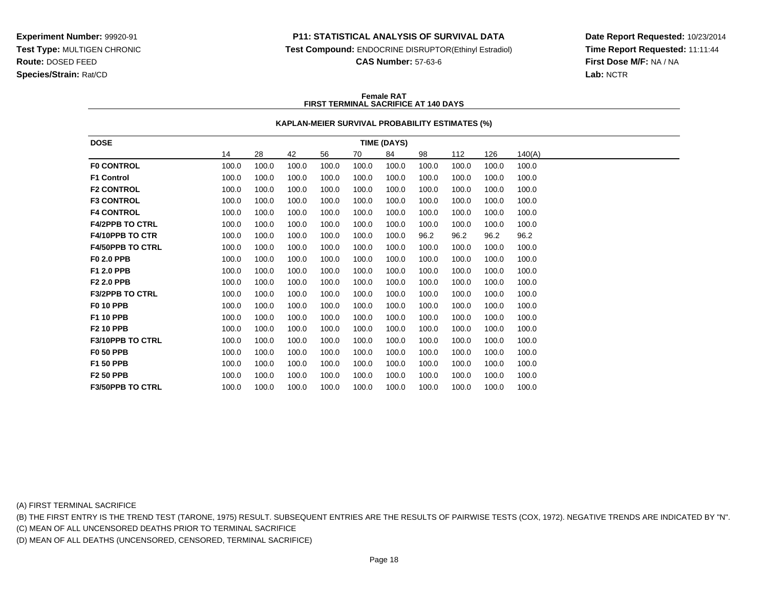### **P11: STATISTICAL ANALYSIS OF SURVIVAL DATA**

**Test Compound:** ENDOCRINE DISRUPTOR(Ethinyl Estradiol)

**CAS Number:** 57-63-6

**Date Report Requested:** 10/23/2014**Time Report Requested:** 11:11:44**First Dose M/F:** NA / NA**Lab:** NCTR

#### **Female RATFIRST TERMINAL SACRIFICE AT 140 DAYS**

### **KAPLAN-MEIER SURVIVAL PROBABILITY ESTIMATES (%)**

| <b>DOSE</b>             | <b>TIME (DAYS)</b> |       |       |       |       |       |       |       |       |        |
|-------------------------|--------------------|-------|-------|-------|-------|-------|-------|-------|-------|--------|
|                         | 14                 | 28    | 42    | 56    | 70    | 84    | 98    | 112   | 126   | 140(A) |
| <b>F0 CONTROL</b>       | 100.0              | 100.0 | 100.0 | 100.0 | 100.0 | 100.0 | 100.0 | 100.0 | 100.0 | 100.0  |
| <b>F1 Control</b>       | 100.0              | 100.0 | 100.0 | 100.0 | 100.0 | 100.0 | 100.0 | 100.0 | 100.0 | 100.0  |
| <b>F2 CONTROL</b>       | 100.0              | 100.0 | 100.0 | 100.0 | 100.0 | 100.0 | 100.0 | 100.0 | 100.0 | 100.0  |
| <b>F3 CONTROL</b>       | 100.0              | 100.0 | 100.0 | 100.0 | 100.0 | 100.0 | 100.0 | 100.0 | 100.0 | 100.0  |
| <b>F4 CONTROL</b>       | 100.0              | 100.0 | 100.0 | 100.0 | 100.0 | 100.0 | 100.0 | 100.0 | 100.0 | 100.0  |
| <b>F4/2PPB TO CTRL</b>  | 100.0              | 100.0 | 100.0 | 100.0 | 100.0 | 100.0 | 100.0 | 100.0 | 100.0 | 100.0  |
| <b>F4/10PPB TO CTR</b>  | 100.0              | 100.0 | 100.0 | 100.0 | 100.0 | 100.0 | 96.2  | 96.2  | 96.2  | 96.2   |
| <b>F4/50PPB TO CTRL</b> | 100.0              | 100.0 | 100.0 | 100.0 | 100.0 | 100.0 | 100.0 | 100.0 | 100.0 | 100.0  |
| F0 2.0 PPB              | 100.0              | 100.0 | 100.0 | 100.0 | 100.0 | 100.0 | 100.0 | 100.0 | 100.0 | 100.0  |
| F1 2.0 PPB              | 100.0              | 100.0 | 100.0 | 100.0 | 100.0 | 100.0 | 100.0 | 100.0 | 100.0 | 100.0  |
| <b>F2 2.0 PPB</b>       | 100.0              | 100.0 | 100.0 | 100.0 | 100.0 | 100.0 | 100.0 | 100.0 | 100.0 | 100.0  |
| <b>F3/2PPB TO CTRL</b>  | 100.0              | 100.0 | 100.0 | 100.0 | 100.0 | 100.0 | 100.0 | 100.0 | 100.0 | 100.0  |
| <b>F0 10 PPB</b>        | 100.0              | 100.0 | 100.0 | 100.0 | 100.0 | 100.0 | 100.0 | 100.0 | 100.0 | 100.0  |
| F1 10 PPB               | 100.0              | 100.0 | 100.0 | 100.0 | 100.0 | 100.0 | 100.0 | 100.0 | 100.0 | 100.0  |
| <b>F2 10 PPB</b>        | 100.0              | 100.0 | 100.0 | 100.0 | 100.0 | 100.0 | 100.0 | 100.0 | 100.0 | 100.0  |
| <b>F3/10PPB TO CTRL</b> | 100.0              | 100.0 | 100.0 | 100.0 | 100.0 | 100.0 | 100.0 | 100.0 | 100.0 | 100.0  |
| <b>F0 50 PPB</b>        | 100.0              | 100.0 | 100.0 | 100.0 | 100.0 | 100.0 | 100.0 | 100.0 | 100.0 | 100.0  |
| F1 50 PPB               | 100.0              | 100.0 | 100.0 | 100.0 | 100.0 | 100.0 | 100.0 | 100.0 | 100.0 | 100.0  |
| <b>F2 50 PPB</b>        | 100.0              | 100.0 | 100.0 | 100.0 | 100.0 | 100.0 | 100.0 | 100.0 | 100.0 | 100.0  |
| <b>F3/50PPB TO CTRL</b> | 100.0              | 100.0 | 100.0 | 100.0 | 100.0 | 100.0 | 100.0 | 100.0 | 100.0 | 100.0  |

(A) FIRST TERMINAL SACRIFICE

(B) THE FIRST ENTRY IS THE TREND TEST (TARONE, 1975) RESULT. SUBSEQUENT ENTRIES ARE THE RESULTS OF PAIRWISE TESTS (COX, 1972). NEGATIVE TRENDS ARE INDICATED BY "N".

(C) MEAN OF ALL UNCENSORED DEATHS PRIOR TO TERMINAL SACRIFICE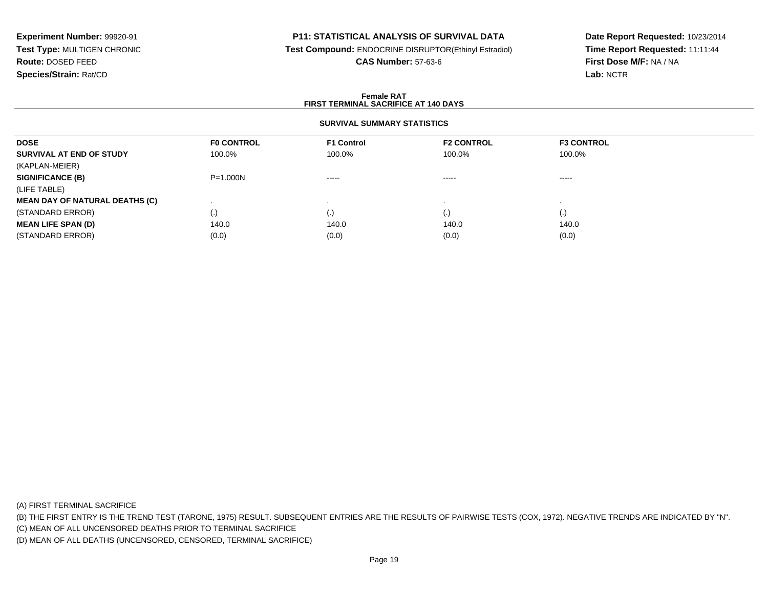## **P11: STATISTICAL ANALYSIS OF SURVIVAL DATA**

**Test Compound:** ENDOCRINE DISRUPTOR(Ethinyl Estradiol)

**CAS Number:** 57-63-6

**Date Report Requested:** 10/23/2014**Time Report Requested:** 11:11:44**First Dose M/F:** NA / NA**Lab:** NCTR

### **Female RATFIRST TERMINAL SACRIFICE AT 140 DAYS**

## **SURVIVAL SUMMARY STATISTICS**

| <b>DOSE</b>                           | <b>FO CONTROL</b> | <b>F1 Control</b> | <b>F2 CONTROL</b> | <b>F3 CONTROL</b>  |  |
|---------------------------------------|-------------------|-------------------|-------------------|--------------------|--|
| SURVIVAL AT END OF STUDY              | 100.0%            | 100.0%            | 100.0%            | 100.0%             |  |
| (KAPLAN-MEIER)                        |                   |                   |                   |                    |  |
| <b>SIGNIFICANCE (B)</b>               | $P = 1.000N$      | -----             | $\cdots$          | ------             |  |
| (LIFE TABLE)                          |                   |                   |                   |                    |  |
| <b>MEAN DAY OF NATURAL DEATHS (C)</b> |                   |                   |                   |                    |  |
| (STANDARD ERROR)                      | (.)               |                   | (.)               | $\left( . \right)$ |  |
| <b>MEAN LIFE SPAN (D)</b>             | 140.0             | 140.0             | 140.0             | 140.0              |  |
| (STANDARD ERROR)                      | (0.0)             | (0.0)             | (0.0)             | (0.0)              |  |

(A) FIRST TERMINAL SACRIFICE

(B) THE FIRST ENTRY IS THE TREND TEST (TARONE, 1975) RESULT. SUBSEQUENT ENTRIES ARE THE RESULTS OF PAIRWISE TESTS (COX, 1972). NEGATIVE TRENDS ARE INDICATED BY "N".

(C) MEAN OF ALL UNCENSORED DEATHS PRIOR TO TERMINAL SACRIFICE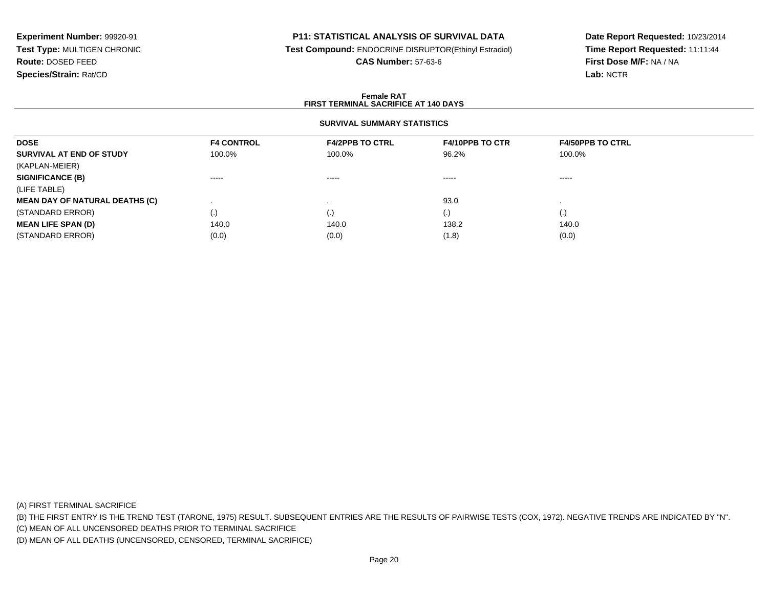### **P11: STATISTICAL ANALYSIS OF SURVIVAL DATA**

**Test Compound:** ENDOCRINE DISRUPTOR(Ethinyl Estradiol)

**CAS Number:** 57-63-6

**Date Report Requested:** 10/23/2014**Time Report Requested:** 11:11:44**First Dose M/F:** NA / NA**Lab:** NCTR

### **Female RATFIRST TERMINAL SACRIFICE AT 140 DAYS**

## **SURVIVAL SUMMARY STATISTICS**

| <b>DOSE</b>                           | <b>F4 CONTROL</b>      | <b>F4/2PPB TO CTRL</b> | <b>F4/10PPB TO CTR</b> | <b>F4/50PPB TO CTRL</b> |
|---------------------------------------|------------------------|------------------------|------------------------|-------------------------|
| SURVIVAL AT END OF STUDY              | 100.0%                 | 100.0%                 | 96.2%                  | 100.0%                  |
| (KAPLAN-MEIER)                        |                        |                        |                        |                         |
| <b>SIGNIFICANCE (B)</b>               | $\cdots \cdots \cdots$ | $\cdots \cdots \cdots$ | $\cdots \cdots \cdots$ | $\cdots \cdots \cdots$  |
| (LIFE TABLE)                          |                        |                        |                        |                         |
| <b>MEAN DAY OF NATURAL DEATHS (C)</b> |                        |                        | 93.0                   |                         |
| (STANDARD ERROR)                      | (.)                    | (.)                    | $\cdot$                | (.)                     |
| <b>MEAN LIFE SPAN (D)</b>             | 140.0                  | 140.0                  | 138.2                  | 140.0                   |
| (STANDARD ERROR)                      | (0.0)                  | (0.0)                  | (1.8)                  | (0.0)                   |

(A) FIRST TERMINAL SACRIFICE

(B) THE FIRST ENTRY IS THE TREND TEST (TARONE, 1975) RESULT. SUBSEQUENT ENTRIES ARE THE RESULTS OF PAIRWISE TESTS (COX, 1972). NEGATIVE TRENDS ARE INDICATED BY "N".

(C) MEAN OF ALL UNCENSORED DEATHS PRIOR TO TERMINAL SACRIFICE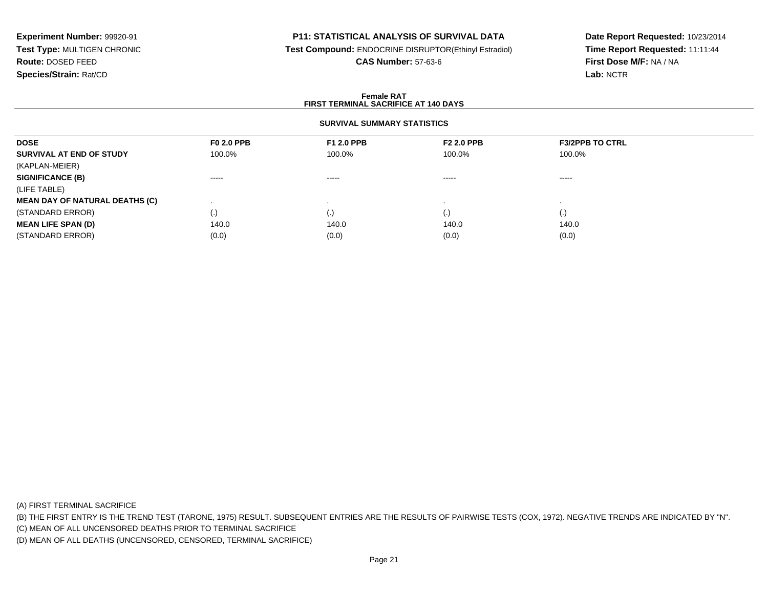### **P11: STATISTICAL ANALYSIS OF SURVIVAL DATA**

**Test Compound:** ENDOCRINE DISRUPTOR(Ethinyl Estradiol)

**CAS Number:** 57-63-6

**Date Report Requested:** 10/23/2014**Time Report Requested:** 11:11:44**First Dose M/F:** NA / NA**Lab:** NCTR

### **Female RATFIRST TERMINAL SACRIFICE AT 140 DAYS**

## **SURVIVAL SUMMARY STATISTICS**

| <b>DOSE</b>                           | <b>F0 2.0 PPB</b>  | <b>F1 2.0 PPB</b> | <b>F2 2.0 PPB</b> | <b>F3/2PPB TO CTRL</b> |  |
|---------------------------------------|--------------------|-------------------|-------------------|------------------------|--|
| SURVIVAL AT END OF STUDY              | 100.0%             | 100.0%            | 100.0%            | 100.0%                 |  |
| (KAPLAN-MEIER)                        |                    |                   |                   |                        |  |
| <b>SIGNIFICANCE (B)</b>               | ------             | $\cdots$          | -----             | -----                  |  |
| (LIFE TABLE)                          |                    |                   |                   |                        |  |
| <b>MEAN DAY OF NATURAL DEATHS (C)</b> |                    |                   |                   |                        |  |
| (STANDARD ERROR)                      | $\left( . \right)$ | (.)               | (.)               | $\left( .\right)$      |  |
| <b>MEAN LIFE SPAN (D)</b>             | 140.0              | 140.0             | 140.0             | 140.0                  |  |
| (STANDARD ERROR)                      | (0.0)              | (0.0)             | (0.0)             | (0.0)                  |  |

(A) FIRST TERMINAL SACRIFICE

(B) THE FIRST ENTRY IS THE TREND TEST (TARONE, 1975) RESULT. SUBSEQUENT ENTRIES ARE THE RESULTS OF PAIRWISE TESTS (COX, 1972). NEGATIVE TRENDS ARE INDICATED BY "N".

(C) MEAN OF ALL UNCENSORED DEATHS PRIOR TO TERMINAL SACRIFICE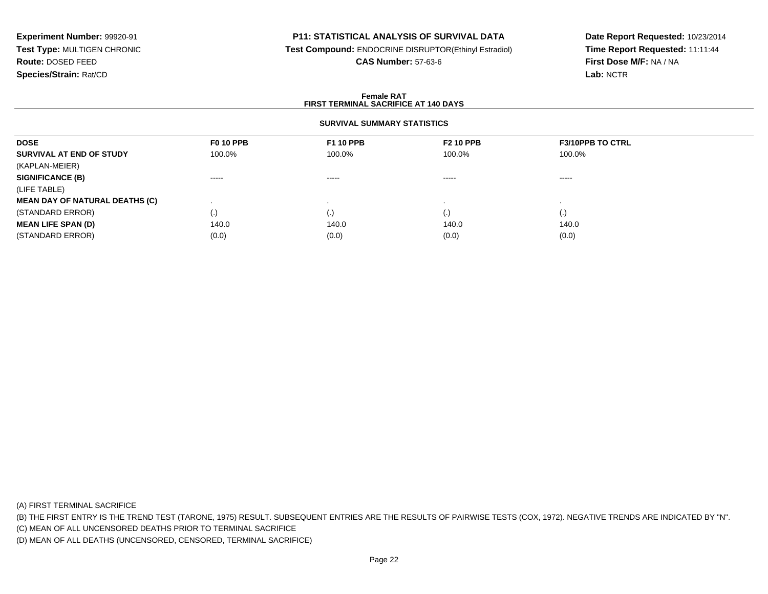### **P11: STATISTICAL ANALYSIS OF SURVIVAL DATA**

**Test Compound:** ENDOCRINE DISRUPTOR(Ethinyl Estradiol)

**CAS Number:** 57-63-6

**Date Report Requested:** 10/23/2014**Time Report Requested:** 11:11:44**First Dose M/F:** NA / NA**Lab:** NCTR

### **Female RATFIRST TERMINAL SACRIFICE AT 140 DAYS**

## **SURVIVAL SUMMARY STATISTICS**

| <b>DOSE</b>                           | <b>F0 10 PPB</b> | <b>F1 10 PPB</b> | <b>F2 10 PPB</b> | <b>F3/10PPB TO CTRL</b> |  |
|---------------------------------------|------------------|------------------|------------------|-------------------------|--|
| SURVIVAL AT END OF STUDY              | 100.0%           | 100.0%           | 100.0%           | 100.0%                  |  |
| (KAPLAN-MEIER)                        |                  |                  |                  |                         |  |
| <b>SIGNIFICANCE (B)</b>               | ------           | $\cdots$         | -----            | ------                  |  |
| (LIFE TABLE)                          |                  |                  |                  |                         |  |
| <b>MEAN DAY OF NATURAL DEATHS (C)</b> |                  |                  |                  |                         |  |
| (STANDARD ERROR)                      | (.)              |                  | (.)              | (.)                     |  |
| <b>MEAN LIFE SPAN (D)</b>             | 140.0            | 140.0            | 140.0            | 140.0                   |  |
| (STANDARD ERROR)                      | (0.0)            | (0.0)            | (0.0)            | (0.0)                   |  |

(A) FIRST TERMINAL SACRIFICE

(B) THE FIRST ENTRY IS THE TREND TEST (TARONE, 1975) RESULT. SUBSEQUENT ENTRIES ARE THE RESULTS OF PAIRWISE TESTS (COX, 1972). NEGATIVE TRENDS ARE INDICATED BY "N".

(C) MEAN OF ALL UNCENSORED DEATHS PRIOR TO TERMINAL SACRIFICE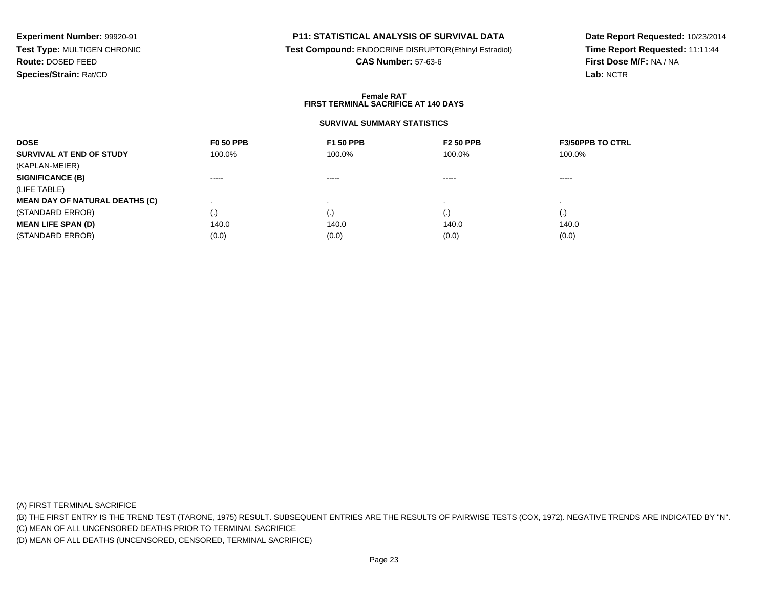## **P11: STATISTICAL ANALYSIS OF SURVIVAL DATA**

**Test Compound:** ENDOCRINE DISRUPTOR(Ethinyl Estradiol)

**CAS Number:** 57-63-6

**Date Report Requested:** 10/23/2014**Time Report Requested:** 11:11:44**First Dose M/F:** NA / NA**Lab:** NCTR

### **Female RATFIRST TERMINAL SACRIFICE AT 140 DAYS**

## **SURVIVAL SUMMARY STATISTICS**

| <b>F0 50 PPB</b> | <b>F1 50 PPB</b>       | <b>F2 50 PPB</b> | <b>F3/50PPB TO CTRL</b> |  |
|------------------|------------------------|------------------|-------------------------|--|
| 100.0%           | 100.0%                 | 100.0%           | 100.0%                  |  |
|                  |                        |                  |                         |  |
| $\cdots$         | $\cdots \cdots \cdots$ | -----            | -----                   |  |
|                  |                        |                  |                         |  |
|                  |                        |                  |                         |  |
| (.)              | (.)                    | $\cdot$          | (.)                     |  |
| 140.0            | 140.0                  | 140.0            | 140.0                   |  |
| (0.0)            | (0.0)                  | (0.0)            | (0.0)                   |  |
|                  |                        |                  |                         |  |

(A) FIRST TERMINAL SACRIFICE

(B) THE FIRST ENTRY IS THE TREND TEST (TARONE, 1975) RESULT. SUBSEQUENT ENTRIES ARE THE RESULTS OF PAIRWISE TESTS (COX, 1972). NEGATIVE TRENDS ARE INDICATED BY "N".

(C) MEAN OF ALL UNCENSORED DEATHS PRIOR TO TERMINAL SACRIFICE